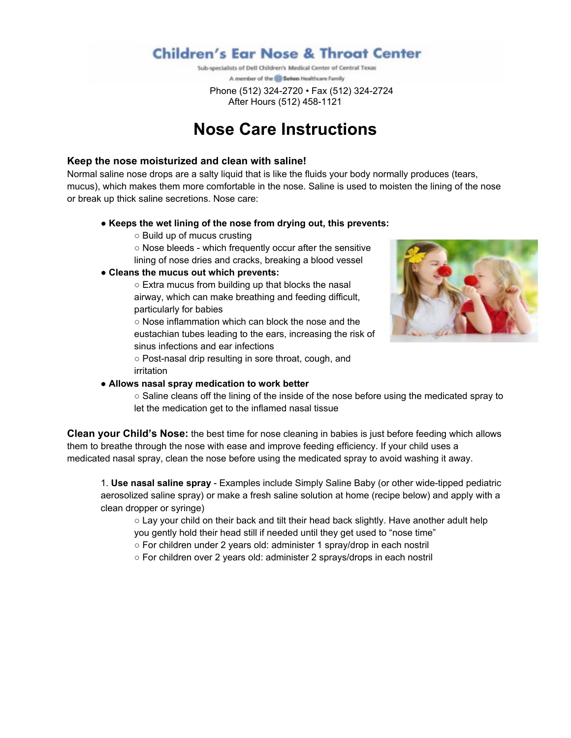# **Children's Ear Nose & Throat Center**

Sub-specialists of Dell Children's Medical Center of Central Texas A member of the @ Seton Healthcare Family

 Phone (512) 324-2720 • Fax (512) 324-2724 After Hours (512) 458-1121

# **Nose Care Instructions**

#### **Keep the nose moisturized and clean with saline!**

Normal saline nose drops are a salty liquid that is like the fluids your body normally produces (tears, mucus), which makes them more comfortable in the nose. Saline is used to moisten the lining of the nose or break up thick saline secretions. Nose care:

- **Keeps the wet lining of the nose from drying out, this prevents:** 
	- Build up of mucus crusting
	- Nose bleeds which frequently occur after the sensitive

lining of nose dries and cracks, breaking a blood vessel

#### ● **Cleans the mucus out which prevents:**

○ Extra mucus from building up that blocks the nasal airway, which can make breathing and feeding difficult, particularly for babies

○ Nose inflammation which can block the nose and the eustachian tubes leading to the ears, increasing the risk of sinus infections and ear infections



○ Post-nasal drip resulting in sore throat, cough, and irritation

#### ● **Allows nasal spray medication to work better**

○ Saline cleans off the lining of the inside of the nose before using the medicated spray to let the medication get to the inflamed nasal tissue

**Clean your Child's Nose:** the best time for nose cleaning in babies is just before feeding which allows them to breathe through the nose with ease and improve feeding efficiency. If your child uses a medicated nasal spray, clean the nose before using the medicated spray to avoid washing it away.

1. **Use nasal saline spray** - Examples include Simply Saline Baby (or other wide-tipped pediatric aerosolized saline spray) or make a fresh saline solution at home (recipe below) and apply with a clean dropper or syringe)

○ Lay your child on their back and tilt their head back slightly. Have another adult help you gently hold their head still if needed until they get used to "nose time"

○ For children under 2 years old: administer 1 spray/drop in each nostril

○ For children over 2 years old: administer 2 sprays/drops in each nostril